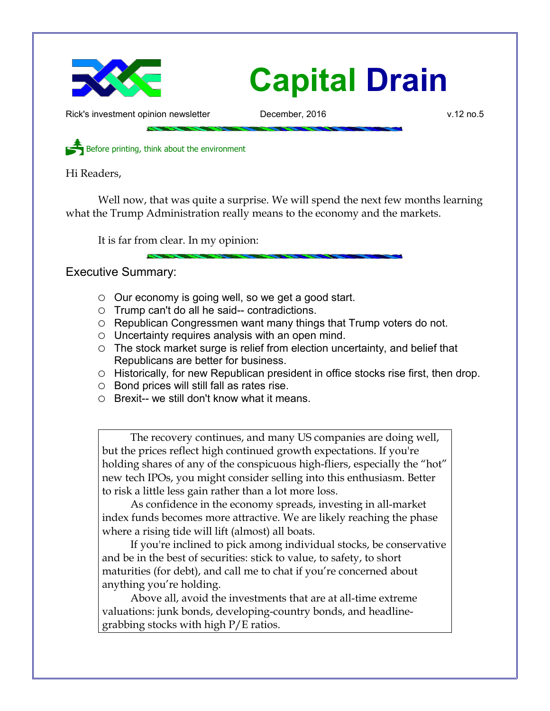

Rick's investment opinion newsletter December, 2016 v.12 no.5

Before printing, think about the environment

Hi Readers,

Well now, that was quite a surprise. We will spend the next few months learning what the Trump Administration really means to the economy and the markets.

It is far from clear. In my opinion:

Executive Summary:

- Our economy is going well, so we get a good start.
- Trump can't do all he said-- contradictions.
- $\circ$  Republican Congressmen want many things that Trump voters do not.
- Uncertainty requires analysis with an open mind.
- The stock market surge is relief from election uncertainty, and belief that Republicans are better for business.
- Historically, for new Republican president in office stocks rise first, then drop.
- Bond prices will still fall as rates rise.
- $\circ$  Brexit-- we still don't know what it means.

The recovery continues, and many US companies are doing well, but the prices reflect high continued growth expectations. If you're holding shares of any of the conspicuous high-fliers, especially the "hot" new tech IPOs, you might consider selling into this enthusiasm. Better to risk a little less gain rather than a lot more loss.

As confidence in the economy spreads, investing in all-market index funds becomes more attractive. We are likely reaching the phase where a rising tide will lift (almost) all boats.

If you're inclined to pick among individual stocks, be conservative and be in the best of securities: stick to value, to safety, to short maturities (for debt), and call me to chat if you're concerned about anything you're holding.

Above all, avoid the investments that are at all-time extreme valuations: junk bonds, developing-country bonds, and headlinegrabbing stocks with high P/E ratios.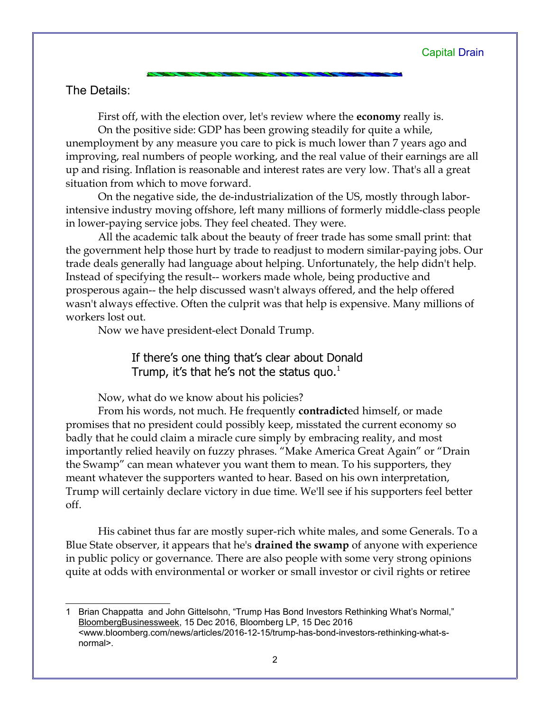## The Details:

First off, with the election over, let's review where the **economy** really is.

On the positive side: GDP has been growing steadily for quite a while, unemployment by any measure you care to pick is much lower than 7 years ago and improving, real numbers of people working, and the real value of their earnings are all up and rising. Inflation is reasonable and interest rates are very low. That's all a great situation from which to move forward.

On the negative side, the de-industrialization of the US, mostly through laborintensive industry moving offshore, left many millions of formerly middle-class people in lower-paying service jobs. They feel cheated. They were.

All the academic talk about the beauty of freer trade has some small print: that the government help those hurt by trade to readjust to modern similar-paying jobs. Our trade deals generally had language about helping. Unfortunately, the help didn't help. Instead of specifying the result-- workers made whole, being productive and prosperous again-- the help discussed wasn't always offered, and the help offered wasn't always effective. Often the culprit was that help is expensive. Many millions of workers lost out.

Now we have president-elect Donald Trump.

If there's one thing that's clear about Donald Trump, it's that he's not the status quo. $<sup>1</sup>$  $<sup>1</sup>$  $<sup>1</sup>$ </sup>

Now, what do we know about his policies?

From his words, not much. He frequently **contradict**ed himself, or made promises that no president could possibly keep, misstated the current economy so badly that he could claim a miracle cure simply by embracing reality, and most importantly relied heavily on fuzzy phrases. "Make America Great Again" or "Drain the Swamp" can mean whatever you want them to mean. To his supporters, they meant whatever the supporters wanted to hear. Based on his own interpretation, Trump will certainly declare victory in due time. We'll see if his supporters feel better off.

His cabinet thus far are mostly super-rich white males, and some Generals. To a Blue State observer, it appears that he's **drained the swamp** of anyone with experience in public policy or governance. There are also people with some very strong opinions quite at odds with environmental or worker or small investor or civil rights or retiree

<span id="page-1-0"></span><sup>1</sup> Brian Chappatta and John Gittelsohn, "Trump Has Bond Investors Rethinking What's Normal," BloombergBusinessweek, 15 Dec 2016, Bloomberg LP, 15 Dec 2016 <www.bloomberg.com/news/articles/2016-12-15/trump-has-bond-investors-rethinking-what-snormal>.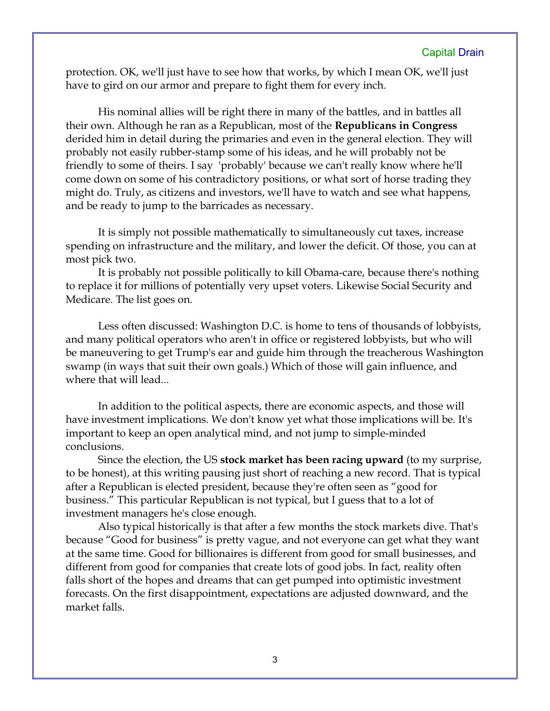protection. OK, we'll just have to see how that works, by which I mean OK, we'll just have to gird on our armor and prepare to fight them for every inch.

His nominal allies will be right there in many of the battles, and in battles all their own. Although he ran as a Republican, most of the **Republicans in Congress** derided him in detail during the primaries and even in the general election. They will probably not easily rubber-stamp some of his ideas, and he will probably not be friendly to some of theirs. I say 'probably' because we can't really know where he'll come down on some of his contradictory positions, or what sort of horse trading they might do. Truly, as citizens and investors, we'll have to watch and see what happens, and be ready to jump to the barricades as necessary.

It is simply not possible mathematically to simultaneously cut taxes, increase spending on infrastructure and the military, and lower the deficit. Of those, you can at most pick two.

It is probably not possible politically to kill Obama-care, because there's nothing to replace it for millions of potentially very upset voters. Likewise Social Security and Medicare. The list goes on.

Less often discussed: Washington D.C. is home to tens of thousands of lobbyists, and many political operators who aren't in office or registered lobbyists, but who will be maneuvering to get Trump's ear and guide him through the treacherous Washington swamp (in ways that suit their own goals.) Which of those will gain influence, and where that will lead...

In addition to the political aspects, there are economic aspects, and those will have investment implications. We don't know yet what those implications will be. It's important to keep an open analytical mind, and not jump to simple-minded conclusions.

Since the election, the US **stock market has been racing upward** (to my surprise, to be honest), at this writing pausing just short of reaching a new record. That is typical after a Republican is elected president, because they're often seen as "good for business." This particular Republican is not typical, but I guess that to a lot of investment managers he's close enough.

Also typical historically is that after a few months the stock markets dive. That's because "Good for business" is pretty vague, and not everyone can get what they want at the same time. Good for billionaires is different from good for small businesses, and different from good for companies that create lots of good jobs. In fact, reality often falls short of the hopes and dreams that can get pumped into optimistic investment forecasts. On the first disappointment, expectations are adjusted downward, and the market falls.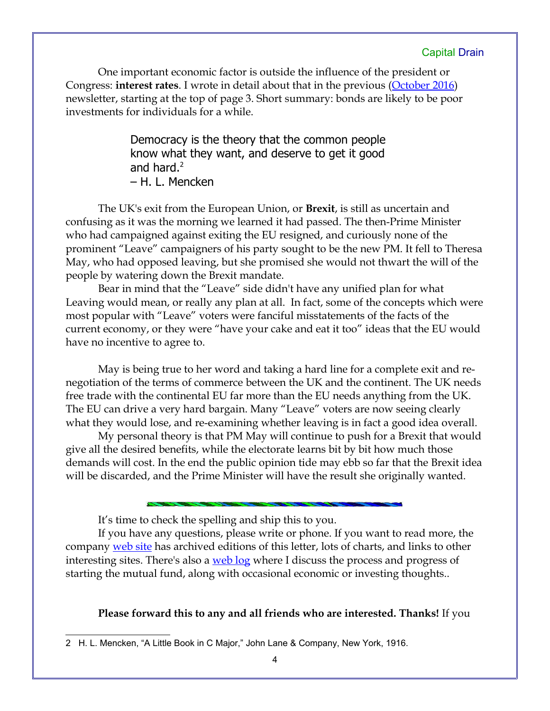One important economic factor is outside the influence of the president or Congress: **interest rates**. I wrote in detail about that in the previous [\(October 2016\)](http://www.longspliceinvest.com/CapDrain/CapDrain_v12n4.pdf) newsletter, starting at the top of page 3. Short summary: bonds are likely to be poor investments for individuals for a while.

> Democracy is the theory that the common people know what they want, and deserve to get it good and hard. $2$ – H. L. Mencken

The UK's exit from the European Union, or **Brexit**, is still as uncertain and confusing as it was the morning we learned it had passed. The then-Prime Minister who had campaigned against exiting the EU resigned, and curiously none of the prominent "Leave" campaigners of his party sought to be the new PM. It fell to Theresa May, who had opposed leaving, but she promised she would not thwart the will of the people by watering down the Brexit mandate.

Bear in mind that the "Leave" side didn't have any unified plan for what Leaving would mean, or really any plan at all. In fact, some of the concepts which were most popular with "Leave" voters were fanciful misstatements of the facts of the current economy, or they were "have your cake and eat it too" ideas that the EU would have no incentive to agree to.

May is being true to her word and taking a hard line for a complete exit and renegotiation of the terms of commerce between the UK and the continent. The UK needs free trade with the continental EU far more than the EU needs anything from the UK. The EU can drive a very hard bargain. Many "Leave" voters are now seeing clearly what they would lose, and re-examining whether leaving is in fact a good idea overall.

My personal theory is that PM May will continue to push for a Brexit that would give all the desired benefits, while the electorate learns bit by bit how much those demands will cost. In the end the public opinion tide may ebb so far that the Brexit idea will be discarded, and the Prime Minister will have the result she originally wanted.

It's time to check the spelling and ship this to you.

If you have any questions, please write or phone. If you want to read more, the company [web site](http://www.LongspliceInvest.com/newsletter.shtml) has archived editions of this letter, lots of charts, and links to other interesting sites. There's also a [web log](http://www.LongspliceInvestments.com/ricksblog) where I discuss the process and progress of starting the mutual fund, along with occasional economic or investing thoughts..

#### **Please forward this to any and all friends who are interested. Thanks!** If you

<span id="page-3-0"></span><sup>2</sup> H. L. Mencken, "A Little Book in C Major," John Lane & Company, New York, 1916.